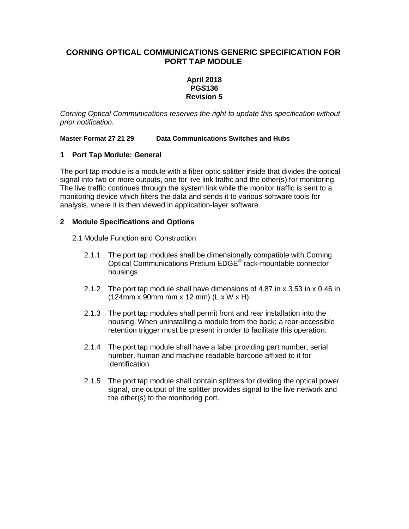# **CORNING OPTICAL COMMUNICATIONS GENERIC SPECIFICATION FOR PORT TAP MODULE**

## **April 2018 PGS136 Revision 5**

*Corning Optical Communications reserves the right to update this specification without prior notification.* 

**Master Format 27 21 29 Data Communications Switches and Hubs** 

## **1 Port Tap Module: General**

The port tap module is a module with a fiber optic splitter inside that divides the optical signal into two or more outputs, one for live link traffic and the other(s) for monitoring. The live traffic continues through the system link while the monitor traffic is sent to a monitoring device which filters the data and sends it to various software tools for analysis, where it is then viewed in application-layer software.

#### **2 Module Specifications and Options**

- 2.1 Module Function and Construction
	- 2.1.1 The port tap modules shall be dimensionally compatible with Corning Optical Communications Pretium EDGE® rack-mountable connector housings.
	- 2.1.2 The port tap module shall have dimensions of 4.87 in x 3.53 in x 0.46 in (124mm x 90mm mm x 12 mm) (L x W x H).
	- 2.1.3 The port tap modules shall permit front and rear installation into the housing. When uninstalling a module from the back; a rear-accessible retention trigger must be present in order to facilitate this operation.
	- 2.1.4 The port tap module shall have a label providing part number, serial number, human and machine readable barcode affixed to it for identification.
	- 2.1.5 The port tap module shall contain splitters for dividing the optical power signal, one output of the splitter provides signal to the live network and the other(s) to the monitoring port.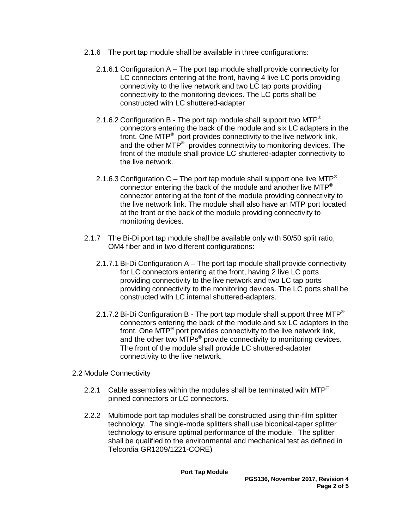- 2.1.6 The port tap module shall be available in three configurations:
	- 2.1.6.1 Configuration A The port tap module shall provide connectivity for LC connectors entering at the front, having 4 live LC ports providing connectivity to the live network and two LC tap ports providing connectivity to the monitoring devices. The LC ports shall be constructed with LC shuttered-adapter
	- 2.1.6.2 Configuration B The port tap module shall support two MTP<sup>®</sup> connectors entering the back of the module and six LC adapters in the front. One MTP<sup>®</sup> port provides connectivity to the live network link, and the other MTP<sup>®</sup> provides connectivity to monitoring devices. The front of the module shall provide LC shuttered-adapter connectivity to the live network.
	- 2.1.6.3 Configuration C The port tap module shall support one live MTP<sup>®</sup> connector entering the back of the module and another live MTP® connector entering at the font of the module providing connectivity to the live network link. The module shall also have an MTP port located at the front or the back of the module providing connectivity to monitoring devices.
- 2.1.7 The Bi-Di port tap module shall be available only with 50/50 split ratio, OM4 fiber and in two different configurations:
	- 2.1.7.1 Bi-Di Configuration A The port tap module shall provide connectivity for LC connectors entering at the front, having 2 live LC ports providing connectivity to the live network and two LC tap ports providing connectivity to the monitoring devices. The LC ports shall be constructed with LC internal shuttered-adapters.
	- 2.1.7.2 Bi-Di Configuration B The port tap module shall support three MTP<sup>®</sup> connectors entering the back of the module and six LC adapters in the front. One MTP<sup>®</sup> port provides connectivity to the live network link, and the other two MTPs<sup>®</sup> provide connectivity to monitoring devices. The front of the module shall provide LC shuttered-adapter connectivity to the live network.
- 2.2 Module Connectivity
	- 2.2.1 Cable assemblies within the modules shall be terminated with MTP<sup>®</sup> pinned connectors or LC connectors.
	- 2.2.2 Multimode port tap modules shall be constructed using thin-film splitter technology. The single-mode splitters shall use biconical-taper splitter technology to ensure optimal performance of the module. The splitter shall be qualified to the environmental and mechanical test as defined in Telcordia GR1209/1221-CORE)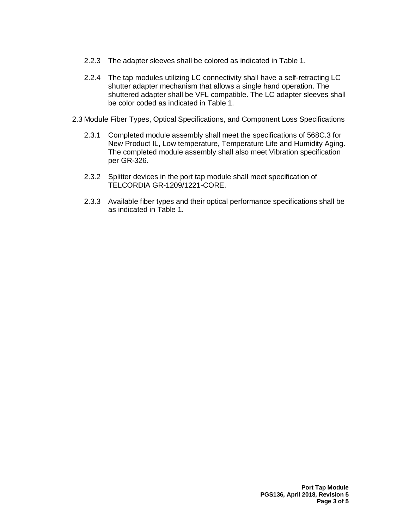- 2.2.3 The adapter sleeves shall be colored as indicated in Table 1.
- 2.2.4 The tap modules utilizing LC connectivity shall have a self-retracting LC shutter adapter mechanism that allows a single hand operation. The shuttered adapter shall be VFL compatible. The LC adapter sleeves shall be color coded as indicated in Table 1.
- 2.3 Module Fiber Types, Optical Specifications, and Component Loss Specifications
	- 2.3.1 Completed module assembly shall meet the specifications of 568C.3 for New Product IL, Low temperature, Temperature Life and Humidity Aging. The completed module assembly shall also meet Vibration specification per GR-326.
	- 2.3.2 Splitter devices in the port tap module shall meet specification of TELCORDIA GR-1209/1221-CORE.
	- 2.3.3 Available fiber types and their optical performance specifications shall be as indicated in Table 1.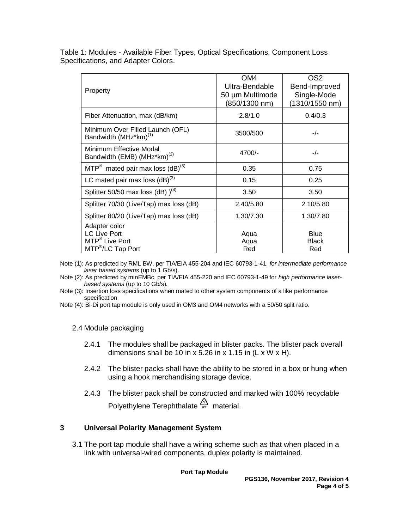Table 1: Modules - Available Fiber Types, Optical Specifications, Component Loss Specifications, and Adapter Colors.

| Property                                                                                            | OM4<br>Ultra-Bendable<br>50 µm Multimode<br>(850/1300 nm) | OS <sub>2</sub><br>Bend-Improved<br>Single-Mode<br>(1310/1550 nm) |  |
|-----------------------------------------------------------------------------------------------------|-----------------------------------------------------------|-------------------------------------------------------------------|--|
| Fiber Attenuation, max (dB/km)                                                                      | 2.8/1.0                                                   | 0.4/0.3                                                           |  |
| Minimum Over Filled Launch (OFL)<br>Bandwidth (MHz*km) <sup>(1)</sup>                               | 3500/500                                                  | $-/-$                                                             |  |
| Minimum Effective Modal<br>4700/-<br>Bandwidth (EMB) (MHz*km) <sup>(2)</sup>                        |                                                           | $-/-$                                                             |  |
| $MTP^{\circledR}$ mated pair max loss (dB) <sup>(3)</sup>                                           | 0.35                                                      | 0.75                                                              |  |
| LC mated pair max loss $(dB)^{(3)}$                                                                 | 0.15                                                      | 0.25                                                              |  |
| Splitter 50/50 max loss (dB) $)^{(4)}$                                                              | 3.50                                                      | 3.50                                                              |  |
| Splitter 70/30 (Live/Tap) max loss (dB)                                                             | 2.40/5.80                                                 | 2.10/5.80                                                         |  |
| Splitter 80/20 (Live/Tap) max loss (dB)                                                             | 1.30/7.30                                                 | 1.30/7.80                                                         |  |
| Adapter color<br><b>LC Live Port</b><br>MTP <sup>®</sup> Live Port<br>MTP <sup>®</sup> /LC Tap Port | Aqua<br>Aqua<br>Red                                       | <b>Blue</b><br><b>Black</b><br>Red                                |  |

Note (1): As predicted by RML BW, per TIA/EIA 455-204 and IEC 60793-1-41, *for intermediate performance laser based systems* (up to 1 Gb/s).

Note (2): As predicted by minEMBc, per TIA/EIA 455-220 and IEC 60793-1-49 for *high performance laserbased systems* (up to 10 Gb/s).

Note (3): Insertion loss specifications when mated to other system components of a like performance specification

Note (4): Bi-Di port tap module is only used in OM3 and OM4 networks with a 50/50 split ratio.

## 2.4 Module packaging

- 2.4.1 The modules shall be packaged in blister packs. The blister pack overall dimensions shall be 10 in x 5.26 in x 1.15 in  $(L \times W \times H)$ .
- 2.4.2 The blister packs shall have the ability to be stored in a box or hung when using a hook merchandising storage device.
- 2.4.3 The blister pack shall be constructed and marked with 100% recyclable Polyethylene Terephthalate  $\frac{d\Lambda}{dt}$  material.

## **3 Universal Polarity Management System**

3.1 The port tap module shall have a wiring scheme such as that when placed in a link with universal-wired components, duplex polarity is maintained.

**Port Tap Module**